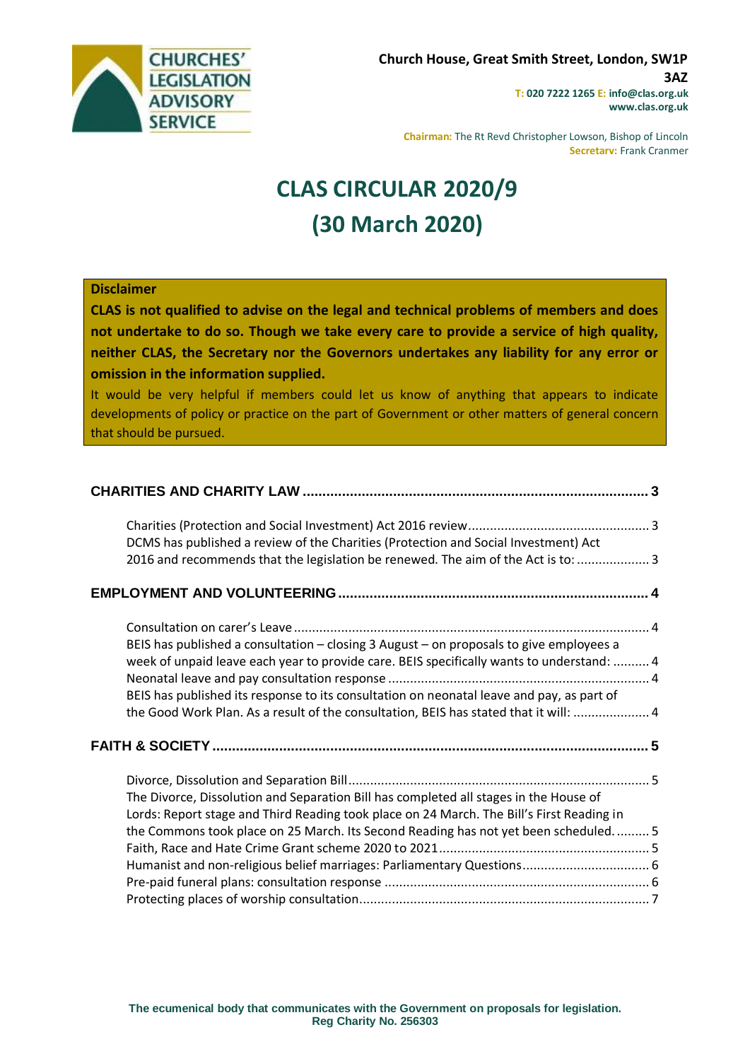

**Chairman:** The Rt Revd Christopher Lowson, Bishop of Lincoln **Secretary:** Frank Cranmer

# **CLAS CIRCULAR 2020/9 (30 March 2020)**

#### **Disclaimer**

**CLAS is not qualified to advise on the legal and technical problems of members and does not undertake to do so. Though we take every care to provide a service of high quality, neither CLAS, the Secretary nor the Governors undertakes any liability for any error or omission in the information supplied.**

It would be very helpful if members could let us know of anything that appears to indicate developments of policy or practice on the part of Government or other matters of general concern that should be pursued.

| DCMS has published a review of the Charities (Protection and Social Investment) Act                                                                                                  |  |
|--------------------------------------------------------------------------------------------------------------------------------------------------------------------------------------|--|
| 2016 and recommends that the legislation be renewed. The aim of the Act is to:  3                                                                                                    |  |
|                                                                                                                                                                                      |  |
|                                                                                                                                                                                      |  |
| BEIS has published a consultation - closing 3 August - on proposals to give employees a<br>week of unpaid leave each year to provide care. BEIS specifically wants to understand:  4 |  |
| BEIS has published its response to its consultation on neonatal leave and pay, as part of<br>the Good Work Plan. As a result of the consultation, BEIS has stated that it will:  4   |  |
|                                                                                                                                                                                      |  |
| The Divorce, Dissolution and Separation Bill has completed all stages in the House of<br>Lords: Report stage and Third Reading took place on 24 March. The Bill's First Reading in   |  |
| the Commons took place on 25 March. Its Second Reading has not yet been scheduled 5                                                                                                  |  |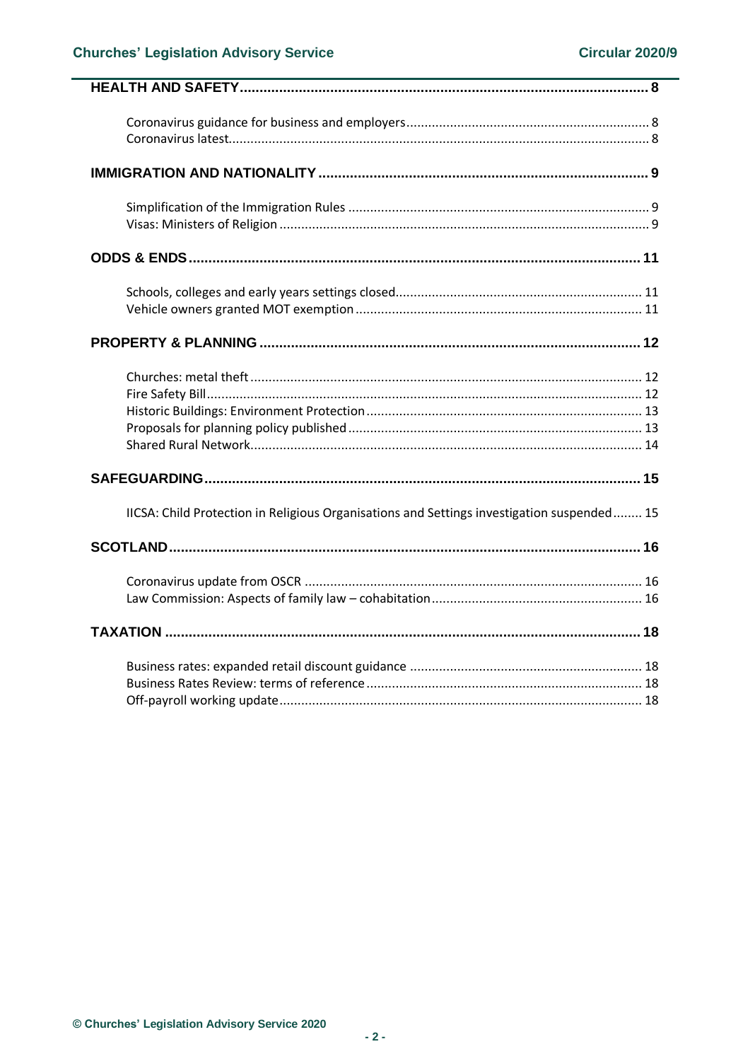| IICSA: Child Protection in Religious Organisations and Settings investigation suspended 15 |
|--------------------------------------------------------------------------------------------|
|                                                                                            |
|                                                                                            |
|                                                                                            |
|                                                                                            |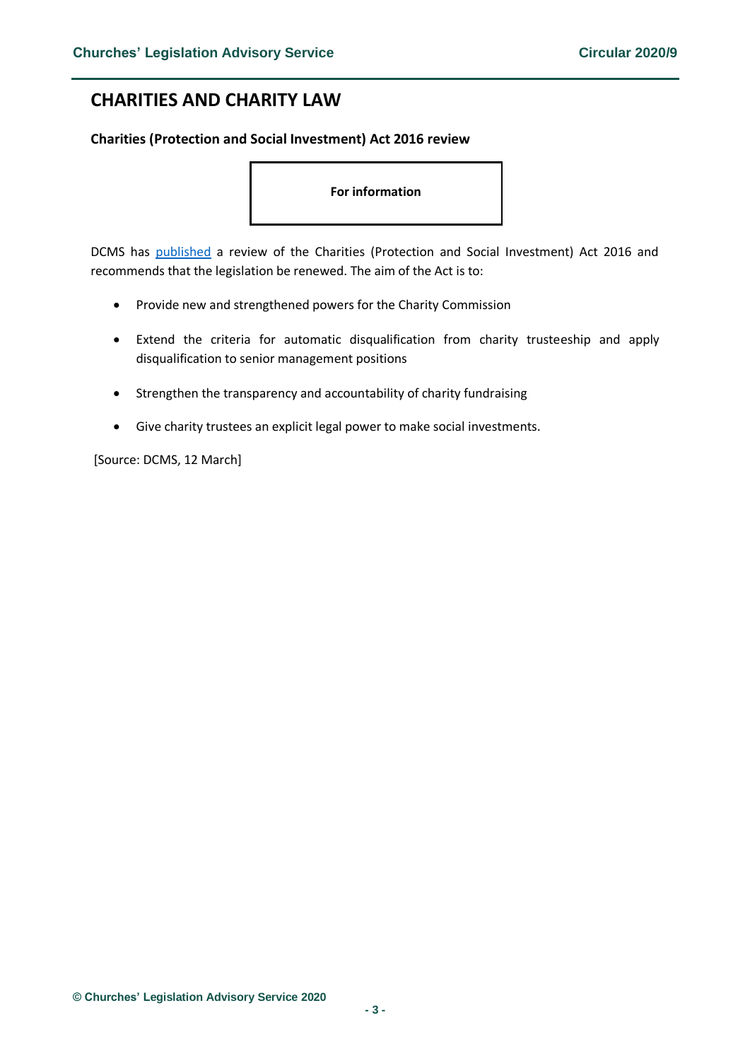# <span id="page-2-0"></span>**CHARITIES AND CHARITY LAW**

### <span id="page-2-1"></span>**Charities (Protection and Social Investment) Act 2016 review**

#### **For information**

<span id="page-2-2"></span>DCMS has [published](https://assets.publishing.service.gov.uk/government/uploads/system/uploads/attachment_data/file/872135/Charities__Protection_and_Social_Investment__Act_2016_Post-Implementation_Review_-_Final.pdf) a review of the Charities (Protection and Social Investment) Act 2016 and recommends that the legislation be renewed. The aim of the Act is to:

- Provide new and strengthened powers for the Charity Commission
- Extend the criteria for automatic disqualification from charity trusteeship and apply disqualification to senior management positions
- Strengthen the transparency and accountability of charity fundraising
- Give charity trustees an explicit legal power to make social investments.

[Source: DCMS, 12 March]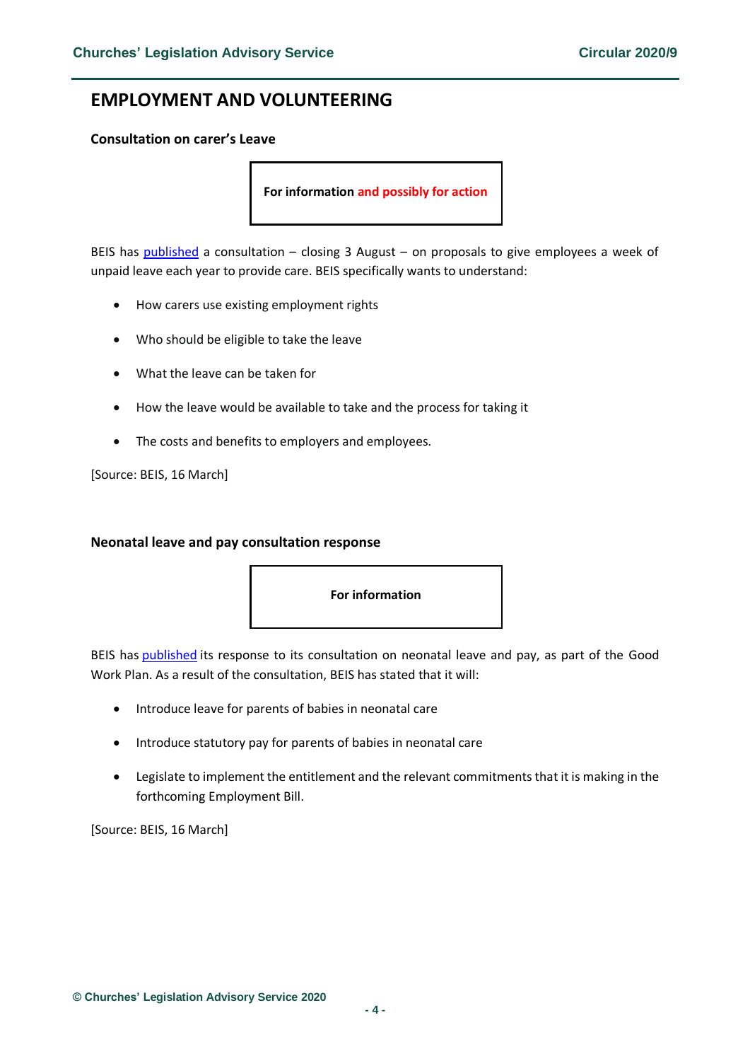# <span id="page-3-0"></span>**EMPLOYMENT AND VOLUNTEERING**

#### <span id="page-3-1"></span>**Consultation on carer's Leave**

**For information and possibly for action**

<span id="page-3-2"></span>BEIS has [published](https://www.gov.uk/government/consultations/carers-leave) a consultation – closing 3 August – on proposals to give employees a week of unpaid leave each year to provide care. BEIS specifically wants to understand:

- How carers use existing employment rights
- Who should be eligible to take the leave
- What the leave can be taken for
- How the leave would be available to take and the process for taking it
- The costs and benefits to employers and employees.

[Source: BEIS, 16 March]

#### <span id="page-3-3"></span>**Neonatal leave and pay consultation response**

**For information** 

<span id="page-3-4"></span>BEIS has [published](https://assets.publishing.service.gov.uk/government/uploads/system/uploads/attachment_data/file/872097/neonatal-leave-and-pay-government_response.pdf) its response to its consultation on neonatal leave and pay, as part of the Good Work Plan. As a result of the consultation, BEIS has stated that it will:

- Introduce leave for parents of babies in neonatal care
- Introduce statutory pay for parents of babies in neonatal care
- Legislate to implement the entitlement and the relevant commitments that it is making in the forthcoming Employment Bill.

[Source: BEIS, 16 March]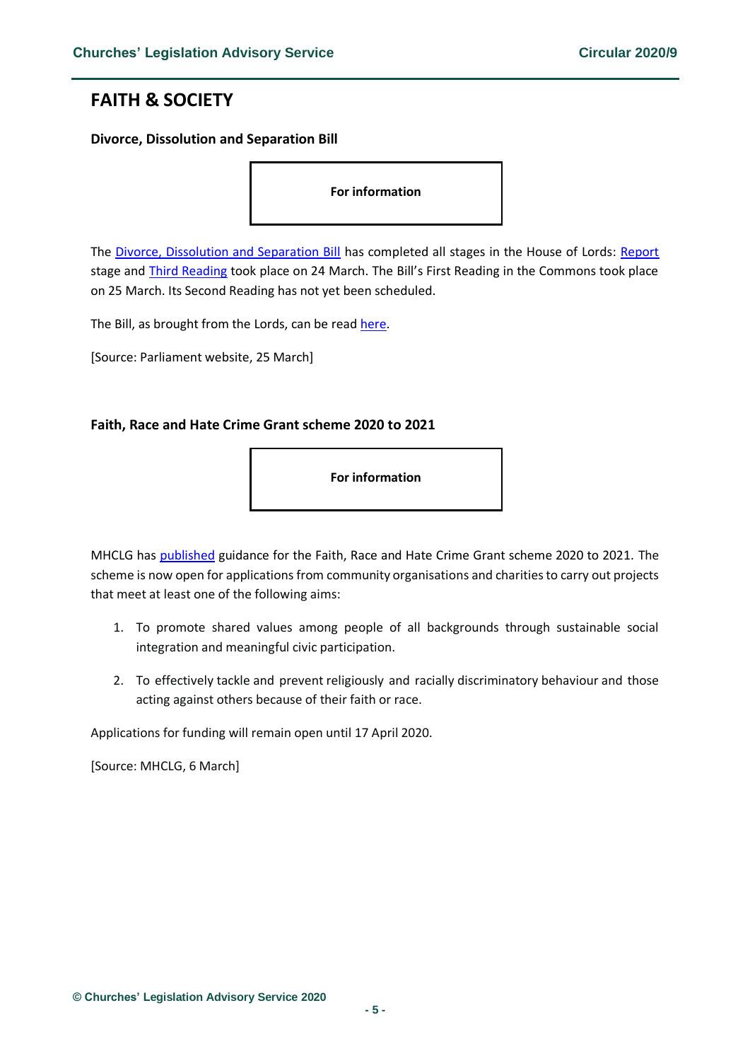# <span id="page-4-0"></span>**FAITH & SOCIETY**

### <span id="page-4-1"></span>**Divorce, Dissolution and Separation Bill**

**For information** 

<span id="page-4-2"></span>The [Divorce, Dissolution and Separation Bill](https://services.parliament.uk/bills/2019-21/divorcedissolutionandseparation.html) has completed all stages in the House of Lords: [Report](https://hansard.parliament.uk/lords/2020-03-17/debates/0A5B4680-8185-4007-8F06-A4B6464A0ED5/DivorceDissolutionAndSeparationBill(HL)) stage and [Third Reading](https://hansard.parliament.uk/lords/2020-03-24/debates/3684D8F0-2B65-4646-A800-BE48EC95E97F/DivorceDissolutionAndSeparationBill(HL)) took place on 24 March. The Bill's First Reading in the Commons took place on 25 March. Its Second Reading has not yet been scheduled.

The Bill, as brought from the Lords, can be read [here.](https://www.publications.parliament.uk/pa/bills/cbill/58-01/0125/20125.pdf)

[Source: Parliament website, 25 March]

#### <span id="page-4-3"></span>**Faith, Race and Hate Crime Grant scheme 2020 to 2021**

**For information** 

MHCLG ha[s published](https://www.gov.uk/government/publications/faith-race-and-hate-crime-grant-scheme-2020-to-2021) guidance for the Faith, Race and Hate Crime Grant scheme 2020 to 2021. The scheme is now open for applications from community organisations and charities to carry out projects that meet at least one of the following aims:

- 1. To promote shared values among people of all backgrounds through sustainable social integration and meaningful civic participation.
- 2. To effectively tackle and prevent religiously and racially discriminatory behaviour and those acting against others because of their faith or race.

Applications for funding will remain open until 17 April 2020.

[Source: MHCLG, 6 March]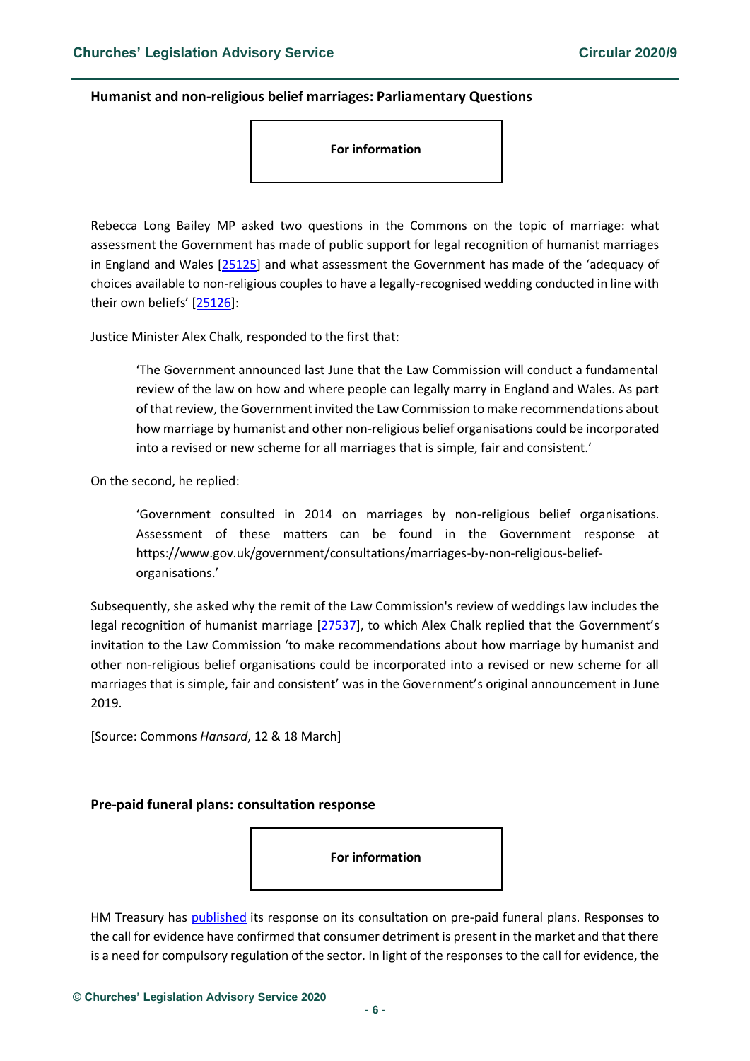### <span id="page-5-0"></span>**Humanist and non-religious belief marriages: Parliamentary Questions**

**For information** 

Rebecca Long Bailey MP asked two questions in the Commons on the topic of marriage: what assessment the Government has made of public support for legal recognition of humanist marriages in England and Wales [\[25125\]](https://www.parliament.uk/business/publications/written-questions-answers-statements/written-question/Commons/2020-03-04/25125/) and what assessment the Government has made of the 'adequacy of choices available to non-religious couples to have a legally-recognised wedding conducted in line with their own beliefs' [[25126\]](https://www.parliament.uk/business/publications/written-questions-answers-statements/written-question/Commons/2020-03-04/25126/):

Justice Minister Alex Chalk, responded to the first that:

'The Government announced last June that the Law Commission will conduct a fundamental review of the law on how and where people can legally marry in England and Wales. As part of that review, the Government invited the Law Commission to make recommendations about how marriage by humanist and other non-religious belief organisations could be incorporated into a revised or new scheme for all marriages that is simple, fair and consistent.'

On the second, he replied:

'Government consulted in 2014 on marriages by non-religious belief organisations. Assessment of these matters can be found in the Government response at [https://www.gov.uk/government/consultations/marriages-by-non-religious-belief](https://www.gov.uk/government/consultations/marriages-by-non-religious-belief-organisations)[organisations](https://www.gov.uk/government/consultations/marriages-by-non-religious-belief-organisations).'

Subsequently, she asked why the remit of the Law Commission's review of weddings law includes the legal recognition of humanist marriage [\[27537\]](https://www.parliament.uk/business/publications/written-questions-answers-statements/written-question/Commons/2020-03-10/27537/), to which Alex Chalk replied that the Government's invitation to the Law Commission 'to make recommendations about how marriage by humanist and other non-religious belief organisations could be incorporated into a revised or new scheme for all marriages that is simple, fair and consistent' was in the Government's original announcement in June 2019.

[Source: Commons *Hansard*, 12 & 18 March]

#### <span id="page-5-1"></span>**Pre-paid funeral plans: consultation response**



HM Treasury has [published](https://assets.publishing.service.gov.uk/government/uploads/system/uploads/attachment_data/file/871535/Funeral_Plans_Consultation_Response_.pdf) its response on its consultation on pre-paid funeral plans. Responses to the call for evidence have confirmed that consumer detriment is present in the market and that there is a need for compulsory regulation of the sector. In light of the responses to the call for evidence, the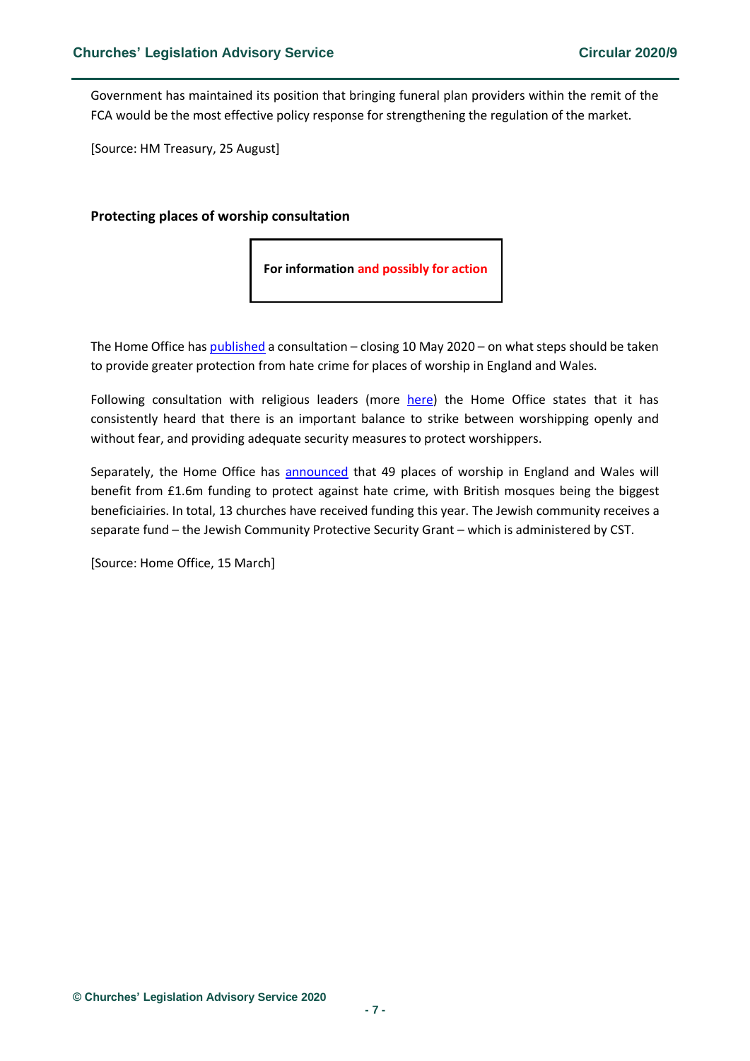Government has maintained its position that bringing funeral plan providers within the remit of the FCA would be the most effective policy response for strengthening the regulation of the market.

[Source: HM Treasury, 25 August]

#### <span id="page-6-0"></span>**Protecting places of worship consultation**

**For information and possibly for action**

The Home Office has [published](https://www.gov.uk/government/consultations/protecting-places-of-worship-consultation) a consultation – closing 10 May 2020 – on what steps should be taken to provide greater protection from hate crime for places of worship in England and Wales.

Following consultation with religious leaders (more [here\)](https://assets.publishing.service.gov.uk/government/uploads/system/uploads/attachment_data/file/872751/20-03-12-Protecting-Places-of-Worship-Consultation.pdf) the Home Office states that it has consistently heard that there is an important balance to strike between worshipping openly and without fear, and providing adequate security measures to protect worshippers.

Separately, the Home Office has [announced](https://www.gov.uk/government/news/places-of-worship-scheme-provides-record-levels-of-funding?utm_source=725504dd-e9d9-40a2-9ab1-b3ce1d441c49&utm_medium=email&utm_campaign=govuk-notifications&utm_content=daily) that 49 places of worship in England and Wales will benefit from £1.6m funding to protect against hate crime, with British mosques being the biggest beneficiairies. In total, 13 churches have received funding this year. The Jewish community receives a separate fund – the Jewish Community Protective Security Grant – which is administered by CST.

[Source: Home Office, 15 March]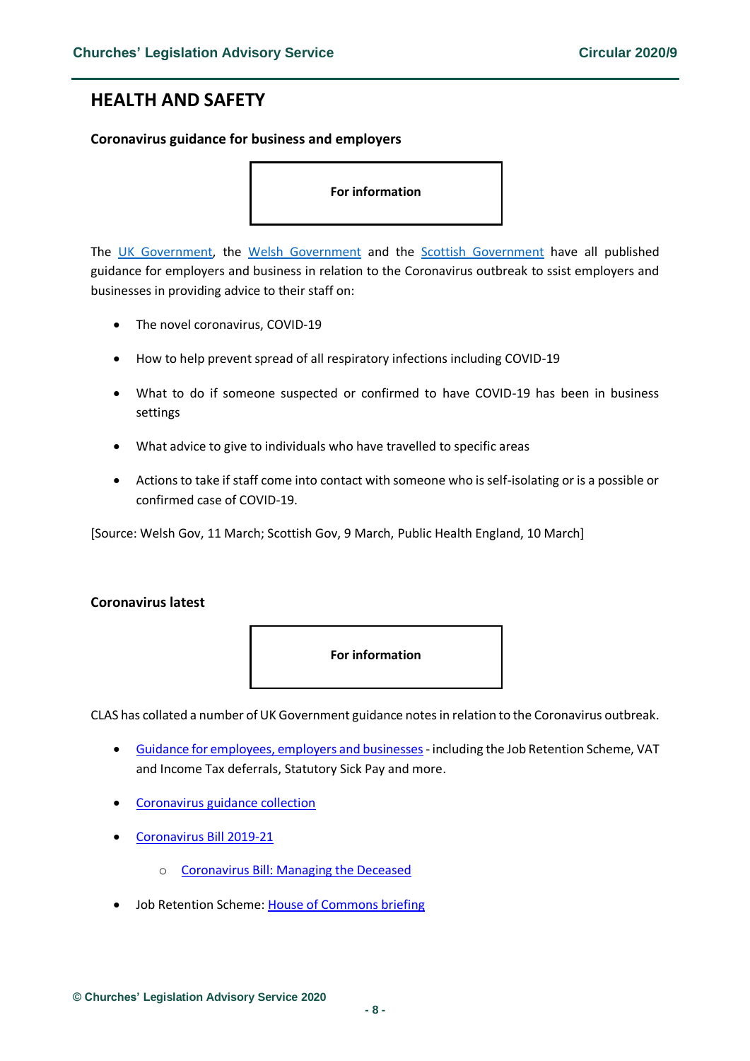# <span id="page-7-0"></span>**HEALTH AND SAFETY**

### <span id="page-7-1"></span>**Coronavirus guidance for business and employers**

#### **For information**

The [UK Government,](https://www.gov.uk/government/publications/guidance-to-employers-and-businesses-about-covid-19) the [Welsh](https://gov.wales/guidance-employers-and-businesses-covid-19) Government and the [Scottish](https://www.gov.scot/news/workplace-advice-contained-in-new-coronavirus-guidance/) Government have all published guidance for employers and business in relation to the Coronavirus outbreak to ssist employers and businesses in providing advice to their staff on:

- The novel coronavirus, COVID-19
- How to help prevent spread of all respiratory infections including COVID-19
- What to do if someone suspected or confirmed to have COVID-19 has been in business settings
- What advice to give to individuals who have travelled to specific areas
- Actions to take if staff come into contact with someone who is self-isolating or is a possible or confirmed case of COVID-19.

[Source: Welsh Gov, 11 March; Scottish Gov, 9 March, Public Health England, 10 March]

### <span id="page-7-2"></span>**Coronavirus latest**

#### **For information**

CLAS has collated a number of UK Government guidance notesin relation to the Coronavirus outbreak.

- [Guidance for employees, employers and businesses](https://www.gov.uk/government/publications/guidance-to-employers-and-businesses-about-covid-19) including the Job Retention Scheme, VAT and Income Tax deferrals, Statutory Sick Pay and more.
- [Coronavirus guidance collection](https://www.gov.uk/government/collections/coronavirus-covid-19-list-of-guidance)
- [Coronavirus Bill 2019-21](https://services.parliament.uk/bills/2019-21/coronavirus.html)
	- o [Coronavirus Bill: Managing the Deceased](https://commonslibrary.parliament.uk/research-briefings/cbp-8860/?utm_source=HOC+Library+-+Research+alerts&utm_campaign=6136ed10ed-EMAIL_CAMPAIGN_2020_03_26_08_00&utm_medium=email&utm_term=0_a9da1c9b17-6136ed10ed-103579521&mc_cid=6136ed10ed&mc_eid=4f1a0992e5)
- Job Retention Scheme: [House of Commons briefing](https://commonslibrary.parliament.uk/economy-business/work-incomes/coronavirus-job-retention-scheme-how-will-it-fit-with-employment-law/?utm_source=HOC+Library+-+Research+alerts&utm_campaign=6136ed10ed-EMAIL_CAMPAIGN_2020_03_26_08_00&utm_medium=email&utm_term=0_a9da1c9b17-6136ed10ed-103579521&mc_cid=6136ed10ed&mc_eid=4f1a0992e5)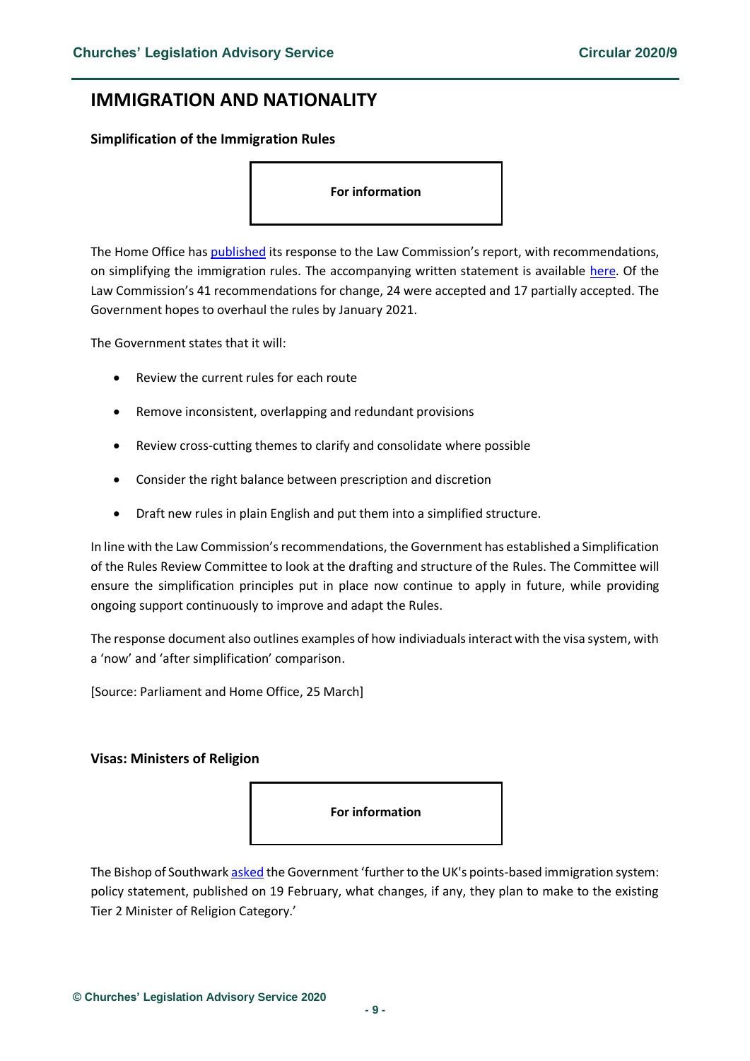# <span id="page-8-0"></span>**IMMIGRATION AND NATIONALITY**

<span id="page-8-1"></span>**Simplification of the Immigration Rules**

**For information** 

The Home Office has [published](https://assets.publishing.service.gov.uk/government/uploads/system/uploads/attachment_data/file/875205/24-03-2020_-_Response_to_Law_Commission_for_publication.pdf) its response to the Law Commission's report, with recommendations, on simplifying the immigration rules. The accompanying written statement is available [here.](https://www.parliament.uk/business/publications/written-questions-answers-statements/written-statement/Commons/2020-03-25/HCWS186/) Of the Law Commission's 41 recommendations for change, 24 were accepted and 17 partially accepted. The Government hopes to overhaul the rules by January 2021.

The Government states that it will:

- Review the current rules for each route
- Remove inconsistent, overlapping and redundant provisions
- Review cross-cutting themes to clarify and consolidate where possible
- Consider the right balance between prescription and discretion
- Draft new rules in plain English and put them into a simplified structure.

In line with the Law Commission's recommendations, the Government has established a Simplification of the Rules Review Committee to look at the drafting and structure of the Rules. The Committee will ensure the simplification principles put in place now continue to apply in future, while providing ongoing support continuously to improve and adapt the Rules.

The response document also outlines examples of how indiviaduals interact with the visa system, with a 'now' and 'after simplification' comparison.

[Source: Parliament and Home Office, 25 March]

#### <span id="page-8-2"></span>**Visas: Ministers of Religion**



The Bishop of Southwar[k asked](https://www.parliament.uk/business/publications/written-questions-answers-statements/written-question/Lords/2020-03-09/HL2370/) the Government 'further to the UK's points-based immigration system: policy statement, published on 19 February, what changes, if any, they plan to make to the existing Tier 2 Minister of Religion Category.'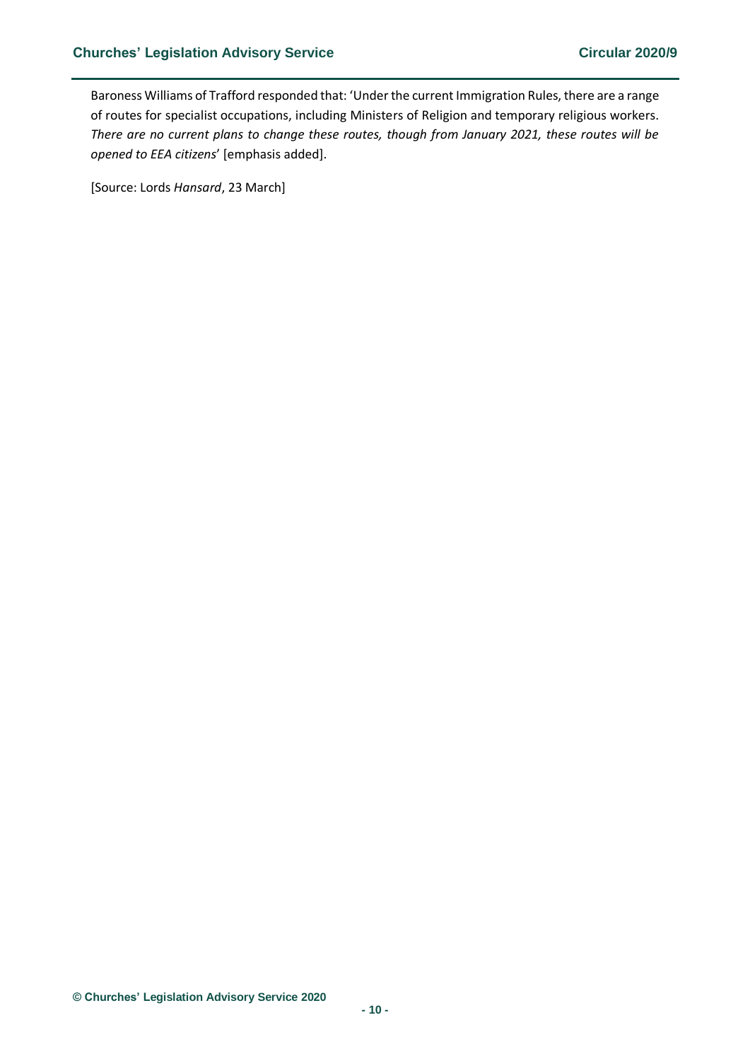Baroness Williams of Trafford responded that: 'Under the current Immigration Rules, there are a range of routes for specialist occupations, including Ministers of Religion and temporary religious workers. *There are no current plans to change these routes, though from January 2021, these routes will be opened to EEA citizens*' [emphasis added].

[Source: Lords *Hansard*, 23 March]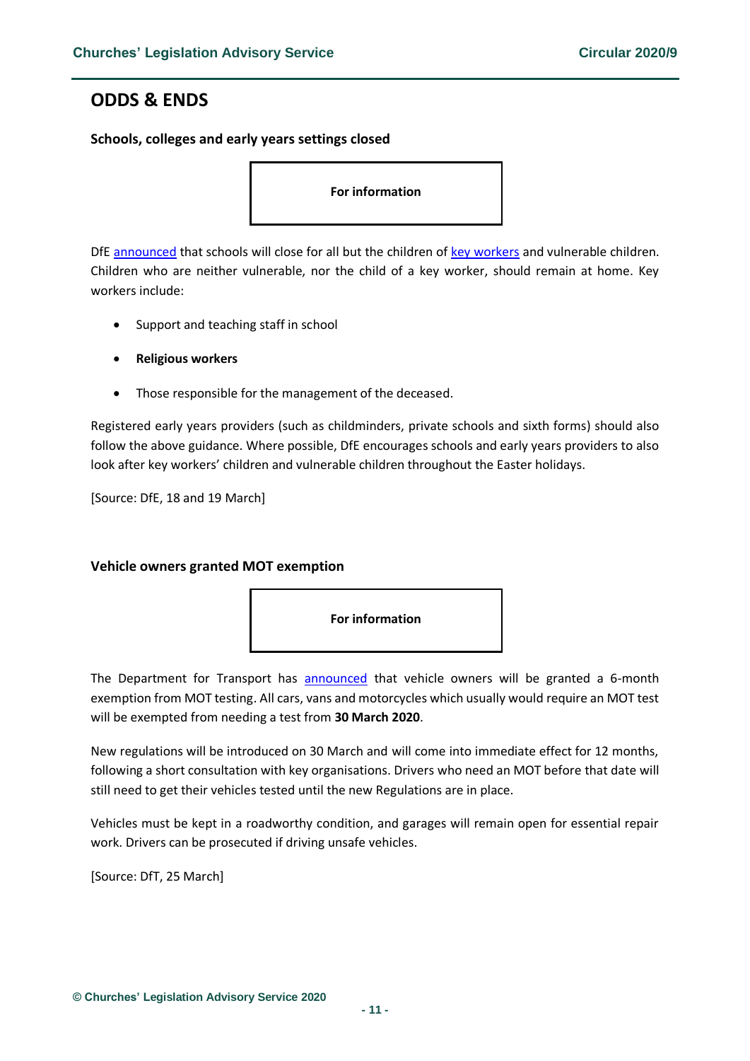# <span id="page-10-0"></span>**ODDS & ENDS**

<span id="page-10-1"></span>**Schools, colleges and early years settings closed**

**For information** 

DfE [announced](https://www.gov.uk/government/news/schools-colleges-and-early-years-settings-to-close?utm_source=ab2c52ba-df74-46bf-a3ab-b18ebfb5a001&utm_medium=email&utm_campaign=govuk-notifications&utm_content=daily) that schools will close for all but the children of [key workers](https://www.gov.uk/government/publications/coronavirus-covid-19-maintaining-educational-provision/guidance-for-schools-colleges-and-local-authorities-on-maintaining-educational-provision) and vulnerable children. Children who are neither vulnerable, nor the child of a key worker, should remain at home. Key workers include:

- Support and teaching staff in school
- **Religious workers**
- Those responsible for the management of the deceased.

Registered early years providers (such as childminders, private schools and sixth forms) should also follow the above guidance. Where possible, DfE encourages schools and early years providers to also look after key workers' children and vulnerable children throughout the Easter holidays.

[Source: DfE, 18 and 19 March]

# <span id="page-10-2"></span>**Vehicle owners granted MOT exemption**



The Department for Transport has [announced](https://www.gov.uk/government/news/vehicle-owners-to-be-granted-mot-exemption-in-battle-against-coronavirus) that vehicle owners will be granted a 6-month exemption from MOT testing. All cars, vans and motorcycles which usually would require an MOT test will be exempted from needing a test from **30 March 2020**.

New regulations will be introduced on 30 March and will come into immediate effect for 12 months, following a short consultation with key organisations. Drivers who need an MOT before that date will still need to get their vehicles tested until the new Regulations are in place.

Vehicles must be kept in a roadworthy condition, and garages will remain open for essential repair work. Drivers can be prosecuted if driving unsafe vehicles.

[Source: DfT, 25 March]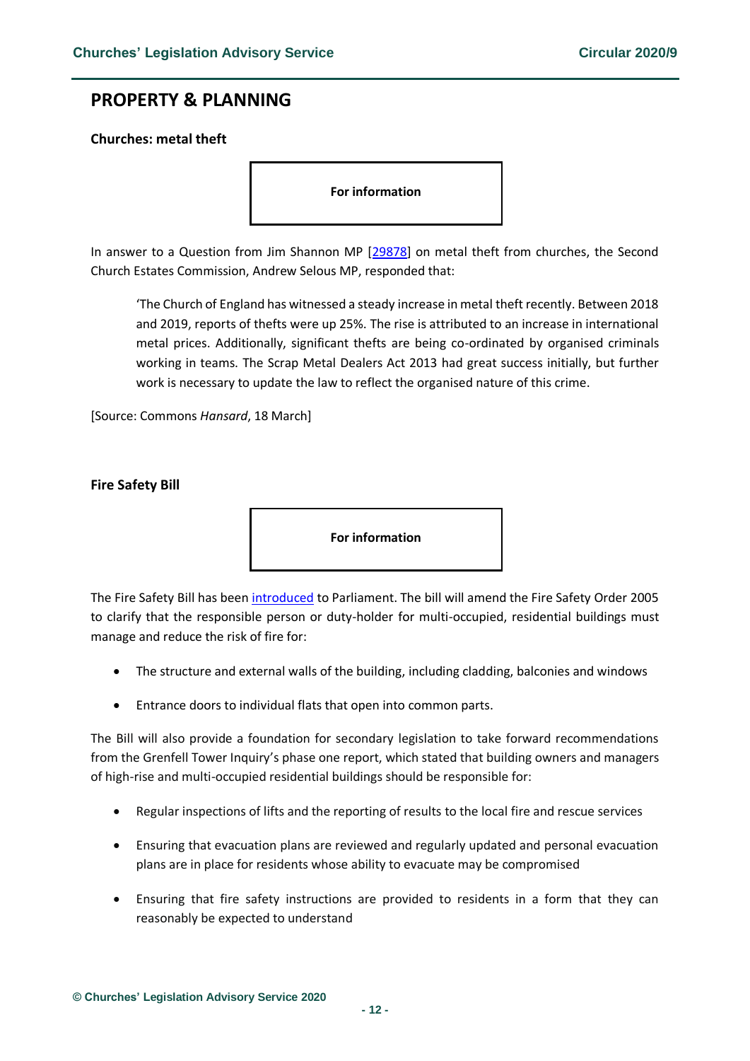# <span id="page-11-0"></span>**PROPERTY & PLANNING**

# <span id="page-11-1"></span>**Churches: metal theft**

**For information** 

In answer to a Question from Jim Shannon MP [\[29878\]](https://www.parliament.uk/business/publications/written-questions-answers-statements/written-question/Commons/2020-03-16/29878/) on metal theft from churches, the Second Church Estates Commission, Andrew Selous MP, responded that:

'The Church of England has witnessed a steady increase in metal theft recently. Between 2018 and 2019, reports of thefts were up 25%. The rise is attributed to an increase in international metal prices. Additionally, significant thefts are being co-ordinated by organised criminals working in teams. The Scrap Metal Dealers Act 2013 had great success initially, but further work is necessary to update the law to reflect the organised nature of this crime.

[Source: Commons *Hansard*, 18 March]

#### <span id="page-11-2"></span>**Fire Safety Bill**

**For information** 

The Fire Safety Bill has been [introduced](https://www.gov.uk/government/news/fire-safety-bill?utm_source=e5b92cf5-b3dc-4d3a-a812-d9ff9fdd7ada&utm_medium=email&utm_campaign=govuk-notifications&utm_content=daily) to Parliament. The bill will amend the Fire Safety Order 2005 to clarify that the responsible person or duty-holder for multi-occupied, residential buildings must manage and reduce the risk of fire for:

- The structure and external walls of the building, including cladding, balconies and windows
- Entrance doors to individual flats that open into common parts.

The Bill will also provide a foundation for secondary legislation to take forward recommendations from the Grenfell Tower Inquiry's phase one report, which stated that building owners and managers of high-rise and multi-occupied residential buildings should be responsible for:

- Regular inspections of lifts and the reporting of results to the local fire and rescue services
- Ensuring that evacuation plans are reviewed and regularly updated and personal evacuation plans are in place for residents whose ability to evacuate may be compromised
- Ensuring that fire safety instructions are provided to residents in a form that they can reasonably be expected to understand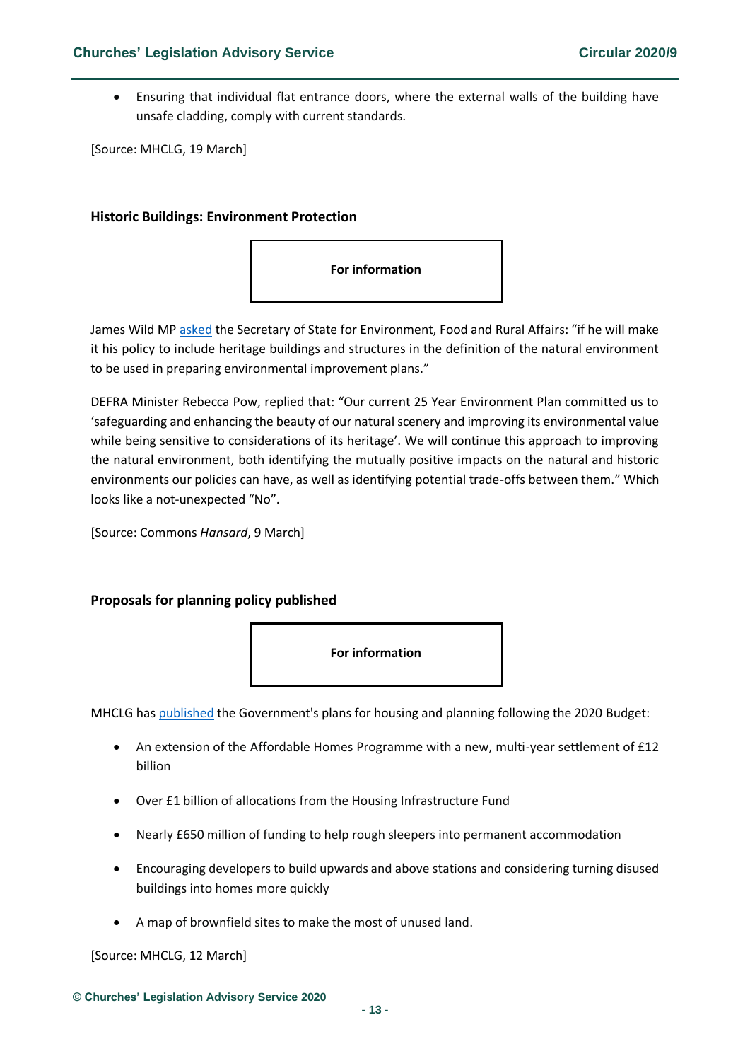• Ensuring that individual flat entrance doors, where the external walls of the building have unsafe cladding, comply with current standards.

[Source: MHCLG, 19 March]

### <span id="page-12-0"></span>**Historic Buildings: Environment Protection**



James Wild MP [asked](https://www.parliament.uk/business/publications/written-questions-answers-statements/written-question/Commons/2020-03-02/23598/) the Secretary of State for Environment, Food and Rural Affairs: "if he will make it his policy to include heritage buildings and structures in the definition of the natural environment to be used in preparing environmental improvement plans."

DEFRA Minister Rebecca Pow, replied that: "Our current 25 Year Environment Plan committed us to 'safeguarding and enhancing the beauty of our natural scenery and improving its environmental value while being sensitive to considerations of its heritage'. We will continue this approach to improving the natural environment, both identifying the mutually positive impacts on the natural and historic environments our policies can have, as well as identifying potential trade-offs between them." Which looks like a not-unexpected "No".

[Source: Commons *Hansard*, 9 March]

# <span id="page-12-1"></span>**Proposals for planning policy published**



MHCLG has [published](https://assets.publishing.service.gov.uk/government/uploads/system/uploads/attachment_data/file/872091/Planning_for_the_Future.pdf) the Government's plans for housing and planning following the 2020 Budget:

- An extension of the Affordable Homes Programme with a new, multi-year settlement of £12 billion
- Over £1 billion of allocations from the Housing Infrastructure Fund
- Nearly £650 million of funding to help rough sleepers into permanent accommodation
- Encouraging developers to build upwards and above stations and considering turning disused buildings into homes more quickly
- A map of brownfield sites to make the most of unused land.

[Source: MHCLG, 12 March]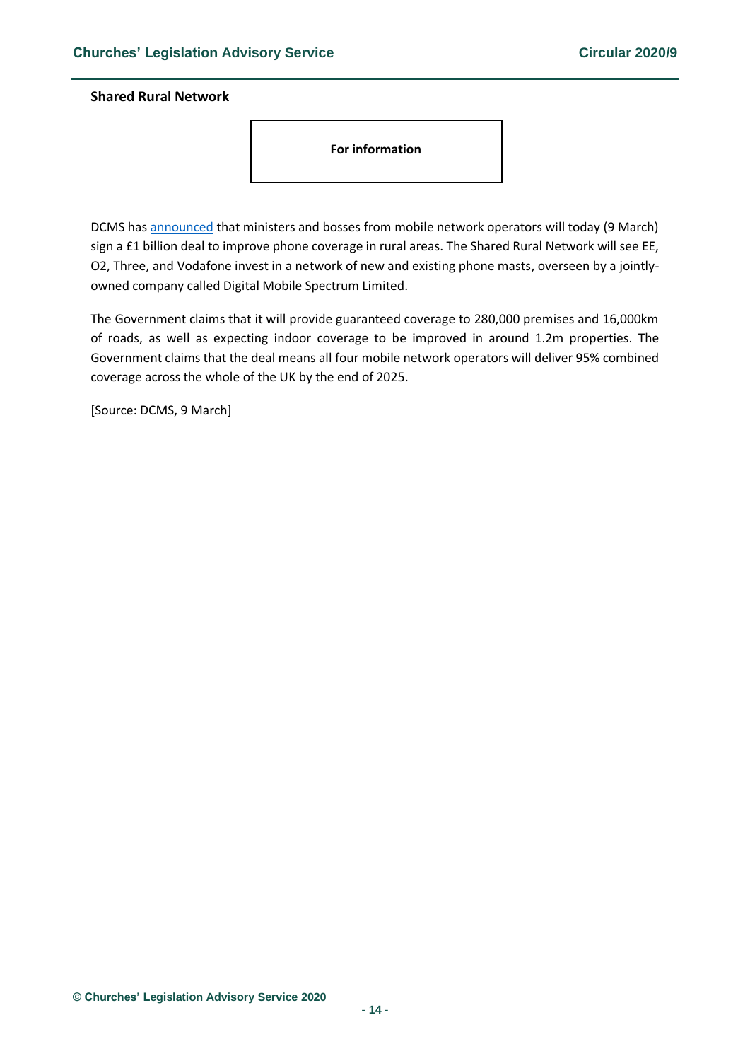### <span id="page-13-0"></span>**Shared Rural Network**

**For information** 

DCMS has [announced](https://www.gov.uk/government/news/shared-rural-network) that ministers and bosses from mobile network operators will today (9 March) sign a £1 billion deal to improve phone coverage in rural areas. The Shared Rural Network will see EE, O2, Three, and Vodafone invest in a network of new and existing phone masts, overseen by a jointlyowned company called Digital Mobile Spectrum Limited.

The Government claims that it will provide guaranteed coverage to 280,000 premises and 16,000km of roads, as well as expecting indoor coverage to be improved in around 1.2m properties. The Government claims that the deal means all four mobile network operators will deliver 95% combined coverage across the whole of the UK by the end of 2025.

[Source: DCMS, 9 March]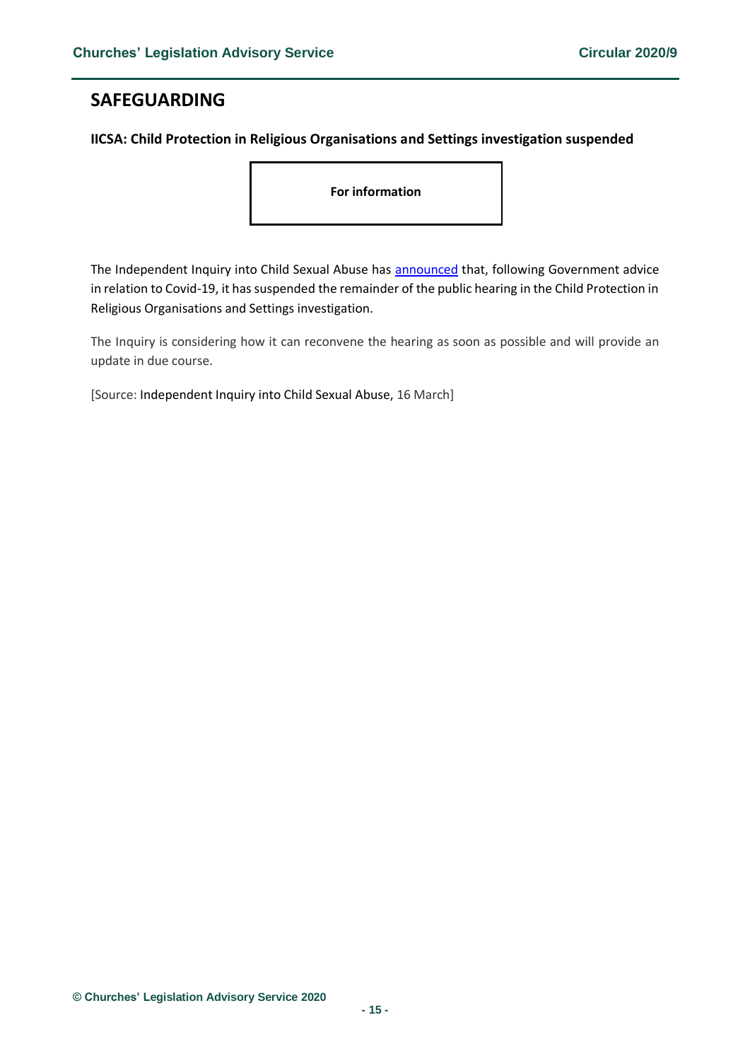# <span id="page-14-0"></span>**SAFEGUARDING**

## <span id="page-14-1"></span>**IICSA: Child Protection in Religious Organisations and Settings investigation suspended**

**For information** 

The Independent Inquiry into Child Sexual Abuse has [announced](https://www.iicsa.org.uk/news/public-hearing-child-protection-religious-organisations-and-settings-investigation-suspended) that, following Government advice in relation to Covid-19, it has suspended the remainder of the public hearing in the Child Protection in Religious Organisations and Settings investigation.

The Inquiry is considering how it can reconvene the hearing as soon as possible and will provide an update in due course.

[Source: Independent Inquiry into Child Sexual Abuse, 16 March]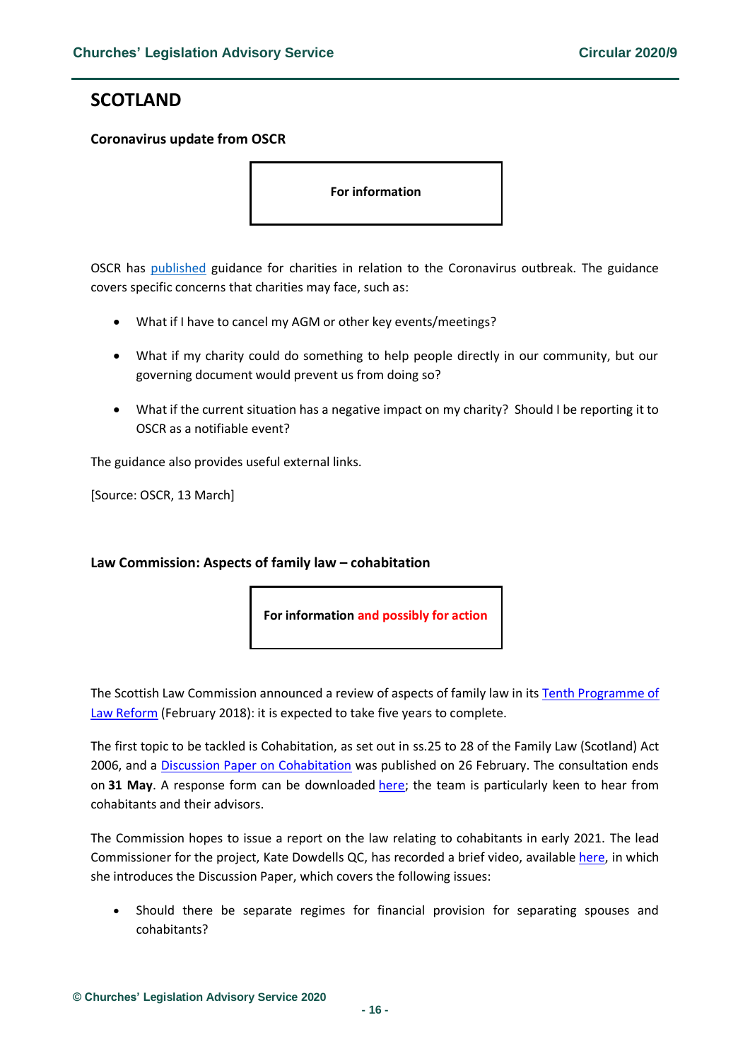# <span id="page-15-0"></span>**SCOTLAND**

### <span id="page-15-1"></span>**Coronavirus update from OSCR**

**For information** 

OSCR has [published](https://www.oscr.org.uk/news/charities-and-coronavirus-an-update-from-the-regulator/) guidance for charities in relation to the Coronavirus outbreak. The guidance covers specific concerns that charities may face, such as:

- What if I have to cancel my AGM or other key events/meetings?
- What if my charity could do something to help people directly in our community, but our governing document would prevent us from doing so?
- What if the current situation has a negative impact on my charity? Should I be reporting it to OSCR as a notifiable event?

The guidance also provides useful external links.

[Source: OSCR, 13 March]

# <span id="page-15-2"></span>**Law Commission: Aspects of family law – cohabitation**

**For information and possibly for action**

The Scottish Law Commission announced a review of aspects of family law in its [Tenth Programme of](https://www.scotlawcom.gov.uk/index.php/download_file/view/2017/1501/1501/)  [Law Reform](https://www.scotlawcom.gov.uk/index.php/download_file/view/2017/1501/1501/) (February 2018): it is expected to take five years to complete.

The first topic to be tackled is Cohabitation, as set out in ss.25 to 28 of the Family Law (Scotland) Act 2006, and a [Discussion Paper on Cohabitation](https://www.scotlawcom.gov.uk/index.php/download_file/view/2185/1501/1501/) was published on 26 February. The consultation ends on **31 May**. A response form can be downloaded [here;](https://www.scotlawcom.gov.uk/index.php/download_file/view/2184/1501/1501/) the team is particularly keen to hear from cohabitants and their advisors.

The Commission hopes to issue a report on the law relating to cohabitants in early 2021. The lead Commissioner for the project, Kate Dowdells QC, has recorded a brief video, available [here,](https://player.hihaho.com/4e754aca-8902-4fbc-8565-89e40d160f48) in which she introduces the Discussion Paper, which covers the following issues:

• Should there be separate regimes for financial provision for separating spouses and cohabitants?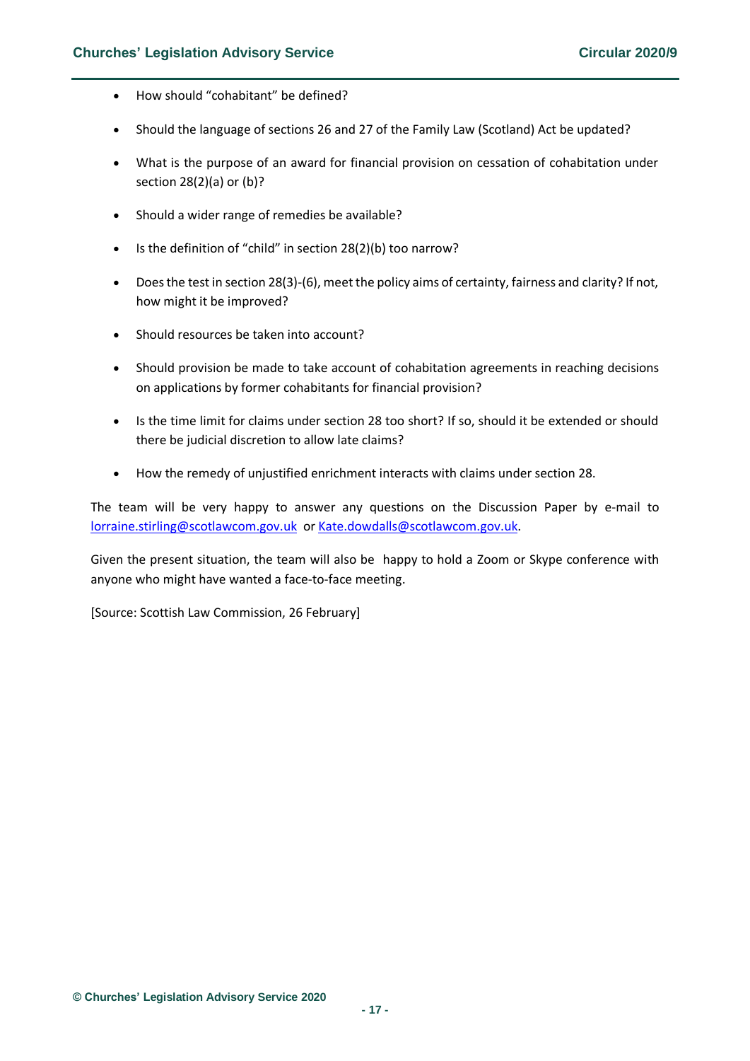- How should "cohabitant" be defined?
- Should the language of sections 26 and 27 of the Family Law (Scotland) Act be updated?
- What is the purpose of an award for financial provision on cessation of cohabitation under section 28(2)(a) or (b)?
- Should a wider range of remedies be available?
- Is the definition of "child" in section 28(2)(b) too narrow?
- Does the test in section 28(3)-(6), meet the policy aims of certainty, fairness and clarity? If not, how might it be improved?
- Should resources be taken into account?
- Should provision be made to take account of cohabitation agreements in reaching decisions on applications by former cohabitants for financial provision?
- Is the time limit for claims under section 28 too short? If so, should it be extended or should there be judicial discretion to allow late claims?
- How the remedy of unjustified enrichment interacts with claims under section 28.

The team will be very happy to answer any questions on the Discussion Paper by e-mail to [lorraine.stirling@scotlawcom.gov.uk](mailto:lorraine.stirling@scotlawcom.gov.uk) o[r Kate.dowdalls@scotlawcom.gov.uk.](mailto:Kate.dowdalls@scotlawcom.gov.uk)

Given the present situation, the team will also be happy to hold a Zoom or Skype conference with anyone who might have wanted a face-to-face meeting.

[Source: Scottish Law Commission, 26 February]